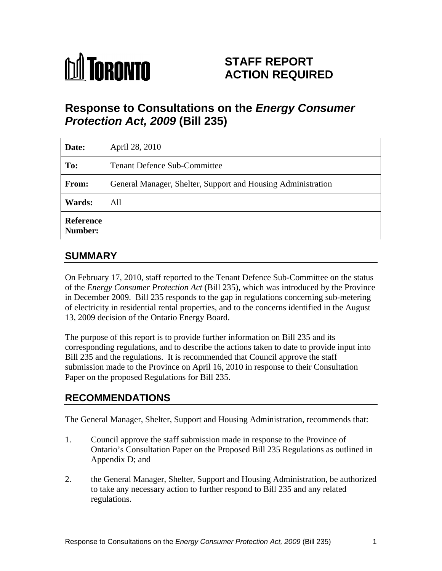# **M** TORONTO

# **STAFF REPORT ACTION REQUIRED**

# **Response to Consultations on the Energy Consumer Protection Act, 2009 (Bill 235)**

| Date:                | April 28, 2010                                               |
|----------------------|--------------------------------------------------------------|
| To:                  | <b>Tenant Defence Sub-Committee</b>                          |
| From:                | General Manager, Shelter, Support and Housing Administration |
| <b>Wards:</b>        | All                                                          |
| Reference<br>Number: |                                                              |

# **SUMMARY**

On February 17, 2010, staff reported to the Tenant Defence Sub-Committee on the status of the *Energy Consumer Protection Act* (Bill 235), which was introduced by the Province in December 2009. Bill 235 responds to the gap in regulations concerning sub-metering of electricity in residential rental properties, and to the concerns identified in the August 13, 2009 decision of the Ontario Energy Board.

The purpose of this report is to provide further information on Bill 235 and its corresponding regulations, and to describe the actions taken to date to provide input into Bill 235 and the regulations. It is recommended that Council approve the staff submission made to the Province on April 16, 2010 in response to their Consultation Paper on the proposed Regulations for Bill 235.

# **RECOMMENDATIONS**

The General Manager, Shelter, Support and Housing Administration, recommends that:

- 1. Council approve the staff submission made in response to the Province of Ontario's Consultation Paper on the Proposed Bill 235 Regulations as outlined in Appendix D; and  $\blacksquare$
- 2. the General Manager, Shelter, Support and Housing Administration, be authorized to take any necessary action to further respond to Bill 235 and any related regulations.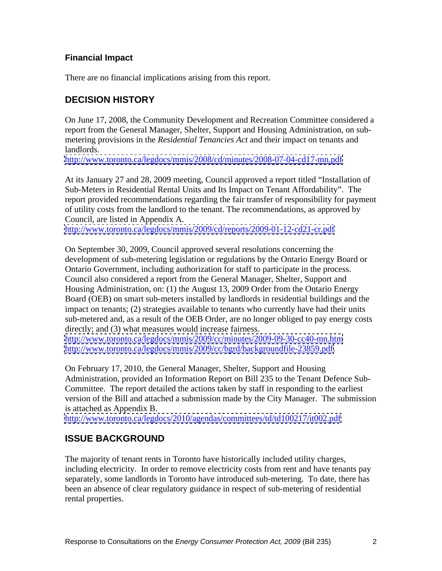#### **Financial Impact**

There are no financial implications arising from this report.

## **DECISION HISTORY**

On June 17, 2008, the Community Development and Recreation Committee considered a report from the General Manager, Shelter, Support and Housing Administration, on sub metering provisions in the *Residential Tenancies Act* and their impact on tenants and landlords.

<http://www.toronto.ca/legdocs/mmis/2008/cd/minutes/2008-07-04-cd17-mn.pdf>

At its January 27 and 28, 2009 meeting, Council approved a report titled "Installation of Sub-Meters in Residential Rental Units and Its Impact on Tenant Affordability". The report provided recommendations regarding the fair transfer of responsibility for payment of utility costs from the landlord to the tenant. The recommendations, as approved by Council, are listed in Appendix A.

<http://www.toronto.ca/legdocs/mmis/2009/cd/reports/2009-01-12-cd21-cr.pdf>

On September 30, 2009, Council approved several resolutions concerning the development of sub-metering legislation or regulations by the Ontario Energy Board or Ontario Government, including authorization for staff to participate in the process. Council also considered a report from the General Manager, Shelter, Support and Housing Administration, on: (1) the August 13, 2009 Order from the Ontario Energy Board (OEB) on smart sub-meters installed by landlords in residential buildings and the impact on tenants; (2) strategies available to tenants who currently have had their units sub-metered and, as a result of the OEB Order, are no longer obliged to pay energy costs directly; and (3) what measures would increase fairness.

<http://www.toronto.ca/legdocs/mmis/2009/cc/minutes/2009-09-30-cc40-mn.htm> [http://www.toronto.ca/legdocs/mmis/2009/cc/bgrd/backgroundfile-23859.pdf.](http://www.toronto.ca/legdocs/mmis/2009/cc/bgrd/backgroundfile-23859.pdf)

On February 17, 2010, the General Manager, Shelter, Support and Housing Administration, provided an Information Report on Bill 235 to the Tenant Defence Sub- Committee. The report detailed the actions taken by staff in responding to the earliest version of the Bill and attached a submission made by the City Manager. The submission is attached as Appendix B.

<http://www.toronto.ca/legdocs/2010/agendas/committees/td/td100217/it002.pdf>

## **ISSUE BACKGROUND**

The majority of tenant rents in Toronto have historically included utility charges, including electricity. In order to remove electricity costs from rent and have tenants pay separately, some landlords in Toronto have introduced sub-metering. To date, there has been an absence of clear regulatory guidance in respect of sub-metering of residential rental properties.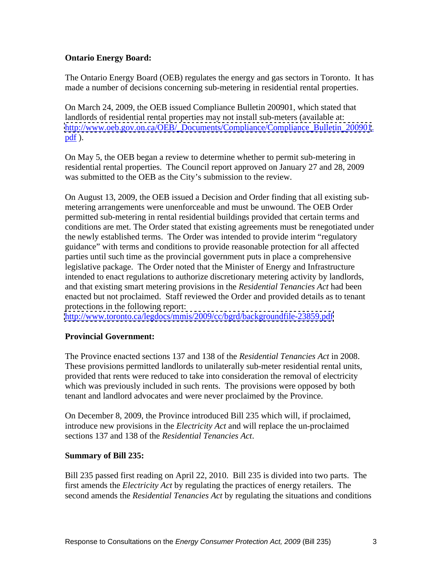#### **Ontario Energy Board:**

The Ontario Energy Board (OEB) regulates the energy and gas sectors in Toronto. It has made a number of decisions concerning sub-metering in residential rental properties.

On March 24, 2009, the OEB issued Compliance Bulletin 200901, which stated that landlords of residential rental properties may not install sub-meters (available at: [http://www.oeb.gov.on.ca/OEB/\\_Documents/Compliance/Compliance\\_Bulletin\\_200901](http://www.oeb.gov.on.ca/OEB/_Documents/Compliance/Compliance_Bulletin_200901).  $pdf$ ).

On May 5, the OEB began a review to determine whether to permit sub-metering in residential rental properties. The Council report approved on January 27 and 28, 2009 was submitted to the OEB as the City's submission to the review.

On August 13, 2009, the OEB issued a Decision and Order finding that all existing sub metering arrangements were unenforceable and must be unwound. The OEB Order permitted sub-metering in rental residential buildings provided that certain terms and conditions are met. The Order stated that existing agreements must be renegotiated under the newly established terms. The Order was intended to provide interim "regulatory guidance" with terms and conditions to provide reasonable protection for all affected parties until such time as the provincial government puts in place a comprehensive legislative package. The Order noted that the Minister of Energy and Infrastructure intended to enact regulations to authorize discretionary metering activity by landlords, and that existing smart metering provisions in the *Residential Tenancies Act* had been enacted but not proclaimed. Staff reviewed the Order and provided details as to tenant protections in the following report:

<http://www.toronto.ca/legdocs/mmis/2009/cc/bgrd/backgroundfile-23859.pdf>

#### **Provincial Government:**

The Province enacted sections 137 and 138 of the *Residential Tenancies Act* in 2008. These provisions permitted landlords to unilaterally sub-meter residential rental units, provided that rents were reduced to take into consideration the removal of electricity which was previously included in such rents. The provisions were opposed by both tenant and landlord advocates and were never proclaimed by the Province.

On December 8, 2009, the Province introduced Bill 235 which will, if proclaimed, introduce new provisions in the *Electricity Act* and will replace the un-proclaimed sections 137 and 138 of the *Residential Tenancies Act*.

#### **Summary of Bill 235:**

Bill 235 passed first reading on April 22, 2010. Bill 235 is divided into two parts. The first amends the *Electricity Act* by regulating the practices of energy retailers. The second amends the *Residential Tenancies Act* by regulating the situations and conditions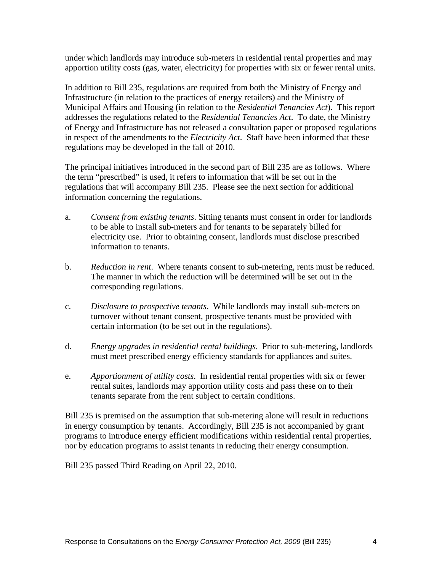under which landlords may introduce sub-meters in residential rental properties and may apportion utility costs (gas, water, electricity) for properties with six or fewer rental units.

In addition to Bill 235, regulations are required from both the Ministry of Energy and Infrastructure (in relation to the practices of energy retailers) and the Ministry of Municipal Affairs and Housing (in relation to the *Residential Tenancies Act*). This report addresses the regulations related to the *Residential Tenancies Act*. To date, the Ministry of Energy and Infrastructure has not released a consultation paper or proposed regulations in respect of the amendments to the *Electricity Act*. Staff have been informed that these regulations may be developed in the fall of 2010.

The principal initiatives introduced in the second part of Bill 235 are as follows. Where the term "prescribed" is used, it refers to information that will be set out in the regulations that will accompany Bill 235. Please see the next section for additional information concerning the regulations.

- a. *Consent from existing tenants*. Sitting tenants must consent in order for landlords to be able to install sub-meters and for tenants to be separately billed for electricity use. Prior to obtaining consent, landlords must disclose prescribed
- information to tenants.<br>b. *Reduction in rent*. Where tenants consent to sub-metering, rents must be reduced.<br>The manner in which the reduction will be determined will be set out in the corresponding regulations.
- c. *Disclosure to prospective tenants*. While landlords may install sub-meters on turnover without tenant consent, prospective tenants must be provided with certain information (to be set out in the regulations).
- d. *Energy upgrades in residential rental buildings*. Prior to sub-metering, landlords must meet prescribed energy efficiency standards for appliances and suites.
- e. *Apportionment of utility costs*. In residential rental properties with six or fewer rental suites, landlords may apportion utility costs and pass these on to their tenants separate from the rent subject to certain conditions.

Bill 235 is premised on the assumption that sub-metering alone will result in reductions in energy consumption by tenants. Accordingly, Bill 235 is not accompanied by grant programs to introduce energy efficient modifications within residential rental properties, nor by education programs to assist tenants in reducing their energy consumption.

Bill 235 passed Third Reading on April 22, 2010.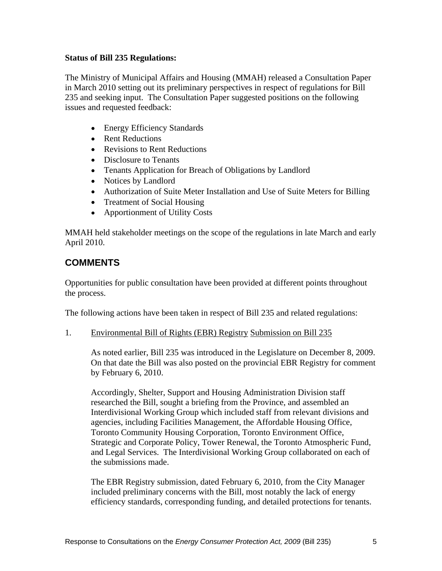#### **Status of Bill 235 Regulations:**

The Ministry of Municipal Affairs and Housing (MMAH) released a Consultation Paper in March 2010 setting out its preliminary perspectives in respect of regulations for Bill 235 and seeking input. The Consultation Paper suggested positions on the following issues and requested feedback:

- Energy Efficiency Standards
- Rent Reductions
- Revisions to Rent Reductions
- Disclosure to Tenants
- Tenants Application for Breach of Obligations by Landlord
- Notices by Landlord
- Authorization of Suite Meter Installation and Use of Suite Meters for Billing
- Treatment of Social Housing
- Apportionment of Utility Costs

MMAH held stakeholder meetings on the scope of the regulations in late March and early April 2010.

## **COMMENTS**

Opportunities for public consultation have been provided at different points throughout the process.

The following actions have been taken in respect of Bill 235 and related regulations:

1. Environmental Bill of Rights (EBR) Registry Submission on Bill 235

As noted earlier, Bill 235 was introduced in the Legislature on December 8, 2009. On that date the Bill was also posted on the provincial EBR Registry for comment by February 6, 2010.

Accordingly, Shelter, Support and Housing Administration Division staff researched the Bill, sought a briefing from the Province, and assembled an Interdivisional Working Group which included staff from relevant divisions and agencies, including Facilities Management, the Affordable Housing Office, Toronto Community Housing Corporation, Toronto Environment Office, Strategic and Corporate Policy, Tower Renewal, the Toronto Atmospheric Fund, and Legal Services. The Interdivisional Working Group collaborated on each of the submissions made.

The EBR Registry submission, dated February 6, 2010, from the City Manager included preliminary concerns with the Bill, most notably the lack of energy efficiency standards, corresponding funding, and detailed protections for tenants.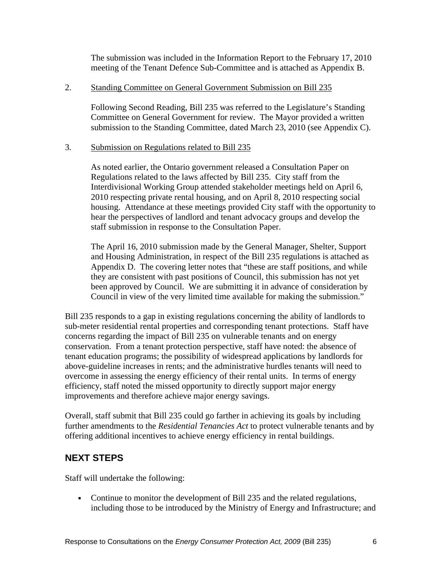The submission was included in the Information Report to the February 17, 2010 meeting of the Tenant Defence Sub-Committee and is attached as Appendix B.

#### 2. Standing Committee on General Government Submission on Bill 235

Following Second Reading, Bill 235 was referred to the Legislature's Standing Committee on General Government for review. The Mayor provided a written submission to the Standing Committee, dated March 23, 2010 (see Appendix C).

#### 3. Submission on Regulations related to Bill 235

As noted earlier, the Ontario government released a Consultation Paper on Regulations related to the laws affected by Bill 235. City staff from the Interdivisional Working Group attended stakeholder meetings held on April 6, 2010 respecting private rental housing, and on April 8, 2010 respecting social housing. Attendance at these meetings provided City staff with the opportunity to hear the perspectives of landlord and tenant advocacy groups and develop the staff submission in response to the Consultation Paper.

The April 16, 2010 submission made by the General Manager, Shelter, Support and Housing Administration, in respect of the Bill 235 regulations is attached as Appendix D. The covering letter notes that "these are staff positions, and while they are consistent with past positions of Council, this submission has not yet been approved by Council. We are submitting it in advance of consideration by Council in view of the very limited time available for making the submission."

Bill 235 responds to a gap in existing regulations concerning the ability of landlords to sub-meter residential rental properties and corresponding tenant protections. Staff have concerns regarding the impact of Bill 235 on vulnerable tenants and on energy conservation. From a tenant protection perspective, staff have noted: the absence of tenant education programs; the possibility of widespread applications by landlords for above-guideline increases in rents; and the administrative hurdles tenants will need to overcome in assessing the energy efficiency of their rental units. In terms of energy efficiency, staff noted the missed opportunity to directly support major energy improvements and therefore achieve major energy savings.

Overall, staff submit that Bill 235 could go farther in achieving its goals by including further amendments to the *Residential Tenancies Act* to protect vulnerable tenants and by offering additional incentives to achieve energy efficiency in rental buildings.

## **NEXT STEPS**

Staff will undertake the following:

• Continue to monitor the development of Bill 235 and the related regulations, including those to be introduced by the Ministry of Energy and Infrastructure; and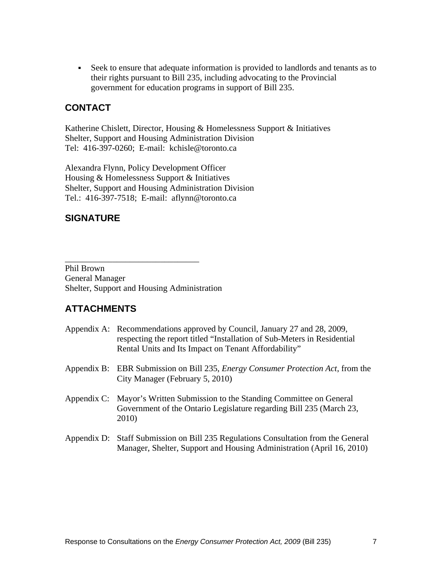Seek to ensure that adequate information is provided to landlords and tenants as to their rights pursuant to Bill 235, including advocating to the Provincial government for education programs in support of Bill 235.

#### **CONTACT**

Katherine Chislett, Director, Housing & Homelessness Support & Initiatives Shelter, Support and Housing Administration Division Tel: 416-397-0260; E-mail: kchisle@toronto.ca

Alexandra Flynn, Policy Development Officer Housing & Homelessness Support & Initiatives Shelter, Support and Housing Administration Division Tel.: 416-397-7518; E-mail: aflynn@toronto.ca

#### **SIGNATURE**

Phil Brown General Manager Shelter, Support and Housing Administration

## **ATTACHMENTS**

| Appendix A: Recommendations approved by Council, January 27 and 28, 2009,<br>respecting the report titled "Installation of Sub-Meters in Residential<br>Rental Units and Its Impact on Tenant Affordability" |
|--------------------------------------------------------------------------------------------------------------------------------------------------------------------------------------------------------------|
| Appendix B: EBR Submission on Bill 235, <i>Energy Consumer Protection Act</i> , from the<br>City Manager (February 5, 2010)                                                                                  |
| Appendix C: Mayor's Written Submission to the Standing Committee on General<br>Government of the Ontario Legislature regarding Bill 235 (March 23,<br>2010)                                                  |
| Appendix D: Staff Submission on Bill 235 Regulations Consultation from the General<br>Manager, Shelter, Support and Housing Administration (April 16, 2010)                                                  |

 $\overline{\phantom{a}}$  , we can assume that the contract of  $\overline{\phantom{a}}$  , we can assume that the contract of  $\overline{\phantom{a}}$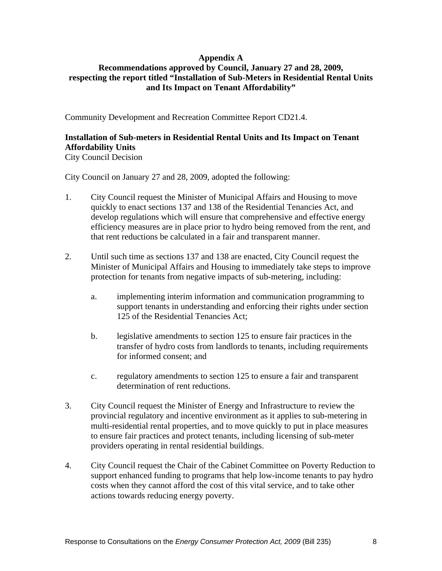#### **Appendix A**

#### **Recommendations approved by Council, January 27 and 28, 2009, respecting the report titled "Installation of Sub-Meters in Residential Rental Units and Its Impact on Tenant Affordability"**

Community Development and Recreation Committee Report CD21.4.

#### **Installation of Sub-meters in Residential Rental Units and Its Impact on Tenant Affordability Units**

City Council Decision

City Council on January 27 and 28, 2009, adopted the following:

- 1. City Council request the Minister of Municipal Affairs and Housing to move quickly to enact sections 137 and 138 of the Residential Tenancies Act, and develop regulations which will ensure that comprehensive and effective energy efficiency measures are in place prior to hydro being removed from the rent, and that rent reductions be calculated in a fair and transparent manner.
- 2. Until such time as sections 137 and 138 are enacted, City Council request the Minister of Municipal Affairs and Housing to immediately take steps to improve protection for tenants from negative impacts of sub-metering, including:
	- a. implementing interim information and communication programming to support tenants in understanding and enforcing their rights under section 125 of the Residential Tenancies Act;
	- b. legislative amendments to section 125 to ensure fair practices in the transfer of hydro costs from landlords to tenants, including requirements for informed consent; and
	- c. regulatory amendments to section 125 to ensure a fair and transparent determination of rent reductions.
- 3. City Council request the Minister of Energy and Infrastructure to review the provincial regulatory and incentive environment as it applies to sub-metering in multi-residential rental properties, and to move quickly to put in place measures to ensure fair practices and protect tenants, including licensing of sub-meter providers operating in rental residential buildings.
- 4. City Council request the Chair of the Cabinet Committee on Poverty Reduction to support enhanced funding to programs that help low-income tenants to pay hydro costs when they cannot afford the cost of this vital service, and to take other actions towards reducing energy poverty.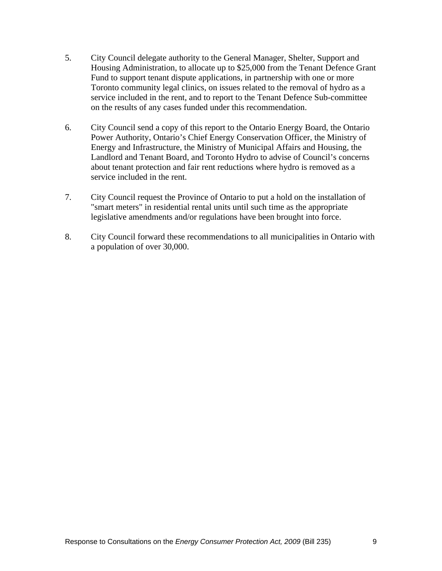- 5. City Council delegate authority to the General Manager, Shelter, Support and Housing Administration, to allocate up to \$25,000 from the Tenant Defence Grant Fund to support tenant dispute applications, in partnership with one or more Toronto community legal clinics, on issues related to the removal of hydro as a service included in the rent, and to report to the Tenant Defence Sub-committee on the results of any cases funded under this recommendation.
- 6. City Council send a copy of this report to the Ontario Energy Board, the Ontario Power Authority, Ontario's Chief Energy Conservation Officer, the Ministry of Energy and Infrastructure, the Ministry of Municipal Affairs and Housing, the Landlord and Tenant Board, and Toronto Hydro to advise of Council's concerns about tenant protection and fair rent reductions where hydro is removed as a service included in the rent.
- 7. City Council request the Province of Ontario to put a hold on the installation of "smart meters" in residential rental units until such time as the appropriate legislative amendments and/or regulations have been brought into force.
- 8. City Council forward these recommendations to all municipalities in Ontario with a population of over 30,000.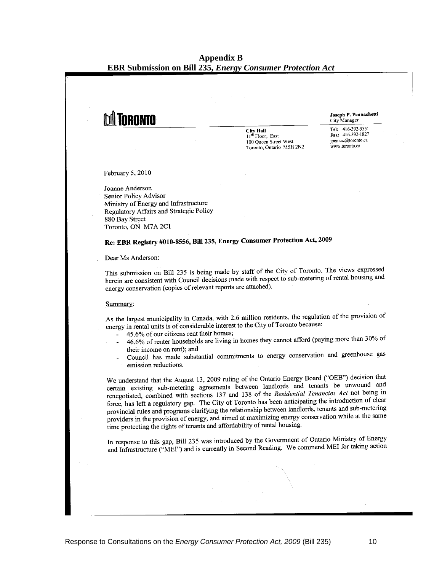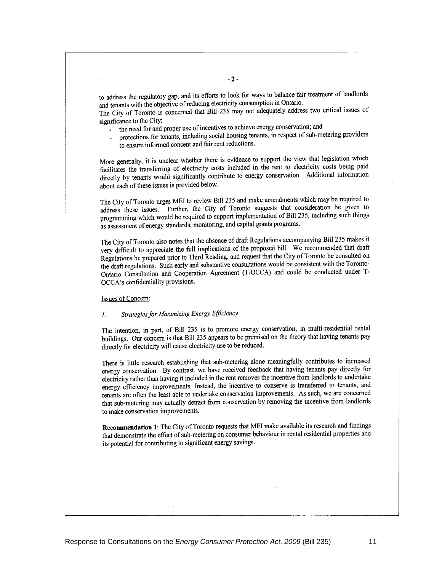to address the regulatory gap, and its efforts to look for ways to balance fair treatment of landlords and tenants with the objective of reducing electricity consumption in Ontario.

The City of Toronto is concerned that Bill 235 may not adequately address two critical issues of significance to the City:

- the need for and proper use of incentives to achieve energy conservation; and
- protections for tenants, including social housing tenants, in respect of sub-metering providers  $\omega$  . to ensure informed consent and fair rent reductions.

More generally, it is unclear whether there is evidence to support the view that legislation which facilitates the transferring of electricity costs included in the rent to electricity costs being paid directly by tenants would significantly contribute to energy conservation. Additional information about each of these issues is provided below.

The City of Toronto urges MEI to review Bill 235 and make amendments which may be required to address these issues. Further, the City of Toronto suggests that consideration be given to programming which would be required to support implementation of Bill 235, including such things as assessment of energy standards, monitoring, and capital grants programs.

The City of Toronto also notes that the absence of draft Regulations accompanying Bill 235 makes it very difficult to appreciate the full implications of the proposed bill. We recommended that draft Regulations be prepared prior to Third Reading, and request that the City of Toronto be consulted on the draft regulations. Such early and substantive consultations would be consistent with the Toronto-Ontario Consultation and Cooperation Agreement (T-OCCA) and could be conducted under T-OCCA's confidentiality provisions.

#### Issues of Concern:

#### Strategies for Maximizing Energy Efficiency  $\mathcal{I}$ .

The intention, in part, of Bill 235 is to promote energy conservation, in multi-residential rental buildings. Our concern is that Bill 235 appears to be premised on the theory that having tenants pay directly for electricity will cause electricity use to be reduced.

There is little research establishing that sub-metering alone meaningfully contributes to increased energy conservation. By contrast, we have received feedback that having tenants pay directly for electricity rather than having it included in the rent removes the incentive from landlords to undertake energy efficiency improvements. Instead, the incentive to conserve is transferred to tenants, and tenants are often the least able to undertake conservation improvements. As such, we are concerned that sub-metering may actually detract from conservation by removing the incentive from landlords to make conservation improvements.

Recommendation 1: The City of Toronto requests that MEI make available its research and findings that demonstrate the effect of sub-metering on consumer behaviour in rental residential properties and its potential for contributing to significant energy savings.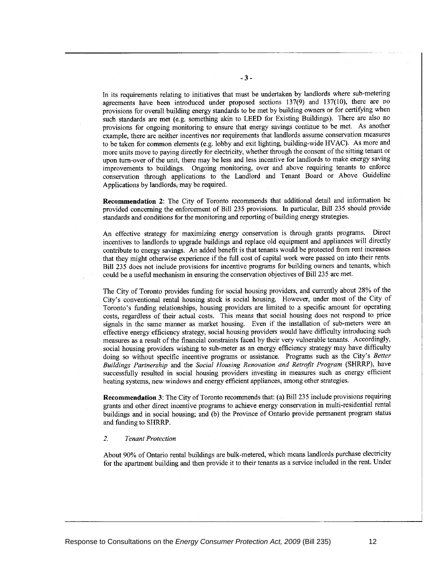In its requirements relating to initiatives that must be undertaken by landlords where sub-metering agreements have been introduced under proposed sections 137(9) and 137(10), there are no provisions for overall building energy standards to be met by building owners or for certifying when such standards are met (e.g. something akin to LEED for Existing Buildings). There are also no provisions for ongoing monitoring to ensure that energy savings continue to be met. As another example, there are neither incentives nor requirements that landlords assume conservation measures to be taken for common elements (e.g. lobby and exit lighting, building-wide HVAC). As more and more units move to paying directly for electricity, whether through the consent of the sitting tenant or upon turn-over of the unit, there may be less and less incentive for landlords to make energy saving improvements to buildings. Ongoing monitoring, over and above requiring tenants to enforce conservation through applications to the Landlord and Tenant Board or Above Guideline Applications by landlords, may be required.

**Recommendation 2:** The City of Toronto recommends that additional detail and information be provided concerning the enforcement of Bill 235 provisions. In particular, Bill 235 should provide standards and conditions for the monitoring and reporting of building energy strategies.

An effective strategy for maximizing energy conservation is through grants programs. Direct incentives to landlords to upgrade buildings and replace old equipment and appliances will directly contribute to energy savings. An added benefit is that tenants would be protected from rent increases that they might otherwise experience if the full cost of capital work were passed on into their rents. Bill 235 does not include provisions for incentive programs for building owners and tenants, which could be a useful mechanism in ensuring the conservation objectives of Bill 235 are met.

The City of Toronto provides funding for social housing providers, and currently about 28% of the City's conventional rental housing stock is social housing. However, under most of the City of Toronto's funding relationships, housing providers are limited to a specific amount for operating costs, regardless of their actual costs. This means that social housing does not respond to price signals in the same manner as market housing. Even if the installation of sub-meters were an effective energy efficiency strategy, social housing providers would have difficulty introducing such measures as a result of the financial constraints faced by their very vulnerable tenants. Accordingly, social housing providers wishing to sub-meter as an energy efficiency strategy may have difficulty doing so without specific incentive programs or assistance. Programs such as the City's Better Buildings Partnership and the Social Housing Renovation and Retrofit Program (SHRRP), have successfully resulted in social housing providers investing in measures such as energy efficient heating systems, new windows and energy efficient appliances, among other strategies.

Recommendation 3: The City of Toronto recommends that: (a) Bill 235 include provisions requiring grants and other direct incentive programs to achieve energy conservation in multi-residential rental buildings and in social housing; and (b) the Province of Ontario provide permanent program status and funding to SHRRP.

#### $\overline{2}$ . **Tenant Protection**

About 90% of Ontario rental buildings are bulk-metered, which means landlords purchase electricity for the apartment building and then provide it to their tenants as a service included in the rent. Under

 $-3-$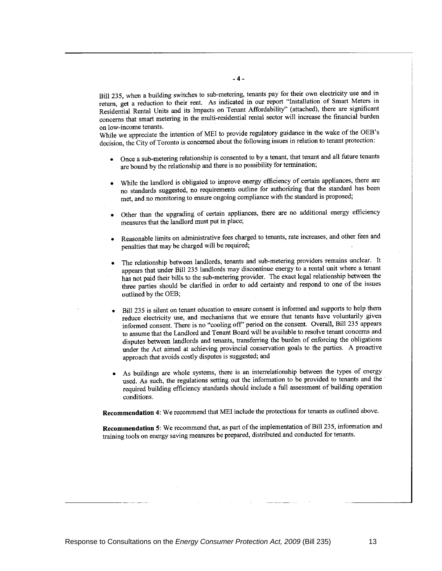Bill 235, when a building switches to sub-metering, tenants pay for their own electricity use and in return, get a reduction to their rent. As indicated in our report "Installation of Smart Meters in Residential Rental Units and its Impacts on Tenant Affordability" (attached), there are significant concerns that smart metering in the multi-residential rental sector will increase the financial burden on low-income tenants.

While we appreciate the intention of MEI to provide regulatory guidance in the wake of the OEB's decision, the City of Toronto is concerned about the following issues in relation to tenant protection:

- Once a sub-metering relationship is consented to by a tenant, that tenant and all future tenants are bound by the relationship and there is no possibility for termination;
- While the landlord is obligated to improve energy efficiency of certain appliances, there are no standards suggested, no requirements outline for authorizing that the standard has been met, and no monitoring to ensure ongoing compliance with the standard is proposed;
- Other than the upgrading of certain appliances, there are no additional energy efficiency measures that the landlord must put in place;
- Reasonable limits on administrative fees charged to tenants, rate increases, and other fees and penalties that may be charged will be required;
- The relationship between landlords, tenants and sub-metering providers remains unclear. It appears that under Bill 235 landlords may discontinue energy to a rental unit where a tenant has not paid their bills to the sub-metering provider. The exact legal relationship between the three parties should be clarified in order to add certainty and respond to one of the issues outlined by the OEB;
- Bill 235 is silent on tenant education to ensure consent is informed and supports to help them reduce electricity use, and mechanisms that we ensure that tenants have voluntarily given informed consent. There is no "cooling off" period on the consent. Overall, Bill 235 appears to assume that the Landlord and Tenant Board will be available to resolve tenant concerns and disputes between landlords and tenants, transferring the burden of enforcing the obligations under the Act aimed at achieving provincial conservation goals to the parties. A proactive approach that avoids costly disputes is suggested; and
- As buildings are whole systems, there is an interrelationship between the types of energy used. As such, the regulations setting out the information to be provided to tenants and the required building efficiency standards should include a full assessment of building operation conditions.

Recommendation 4: We recommend that MEI include the protections for tenants as outlined above.

Recommendation 5: We recommend that, as part of the implementation of Bill 235, information and training tools on energy saving measures be prepared, distributed and conducted for tenants.

 $-4-$